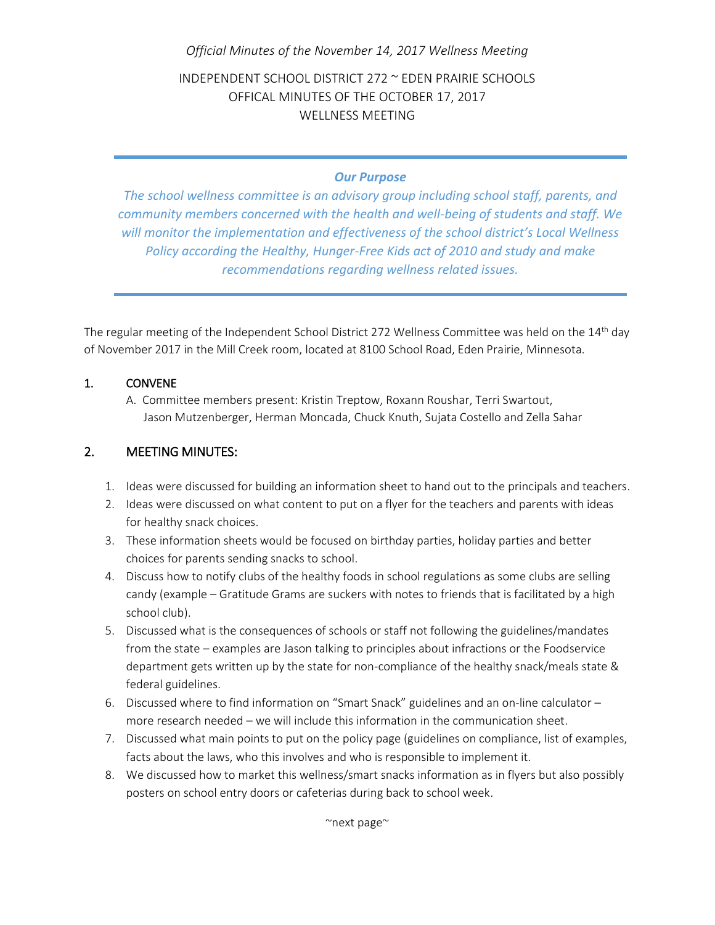## *Official Minutes of the November 14, 2017 Wellness Meeting*

INDEPENDENT SCHOOL DISTRICT 272 ~ EDEN PRAIRIE SCHOOLS OFFICAL MINUTES OF THE OCTOBER 17, 2017 WELLNESS MEETING

## *Our Purpose*

*The school wellness committee is an advisory group including school staff, parents, and community members concerned with the health and well-being of students and staff. We will monitor the implementation and effectiveness of the school district's Local Wellness Policy according the Healthy, Hunger-Free Kids act of 2010 and study and make recommendations regarding wellness related issues.*

The regular meeting of the Independent School District 272 Wellness Committee was held on the 14<sup>th</sup> day of November 2017 in the Mill Creek room, located at 8100 School Road, Eden Prairie, Minnesota.

## 1. CONVENE

A. Committee members present: Kristin Treptow, Roxann Roushar, Terri Swartout, Jason Mutzenberger, Herman Moncada, Chuck Knuth, Sujata Costello and Zella Sahar

## 2. MEETING MINUTES:

- 1. Ideas were discussed for building an information sheet to hand out to the principals and teachers.
- 2. Ideas were discussed on what content to put on a flyer for the teachers and parents with ideas for healthy snack choices.
- 3. These information sheets would be focused on birthday parties, holiday parties and better choices for parents sending snacks to school.
- 4. Discuss how to notify clubs of the healthy foods in school regulations as some clubs are selling candy (example – Gratitude Grams are suckers with notes to friends that is facilitated by a high school club).
- 5. Discussed what is the consequences of schools or staff not following the guidelines/mandates from the state – examples are Jason talking to principles about infractions or the Foodservice department gets written up by the state for non-compliance of the healthy snack/meals state & federal guidelines.
- 6. Discussed where to find information on "Smart Snack" guidelines and an on-line calculator more research needed – we will include this information in the communication sheet.
- 7. Discussed what main points to put on the policy page (guidelines on compliance, list of examples, facts about the laws, who this involves and who is responsible to implement it.
- 8. We discussed how to market this wellness/smart snacks information as in flyers but also possibly posters on school entry doors or cafeterias during back to school week.

~next page~